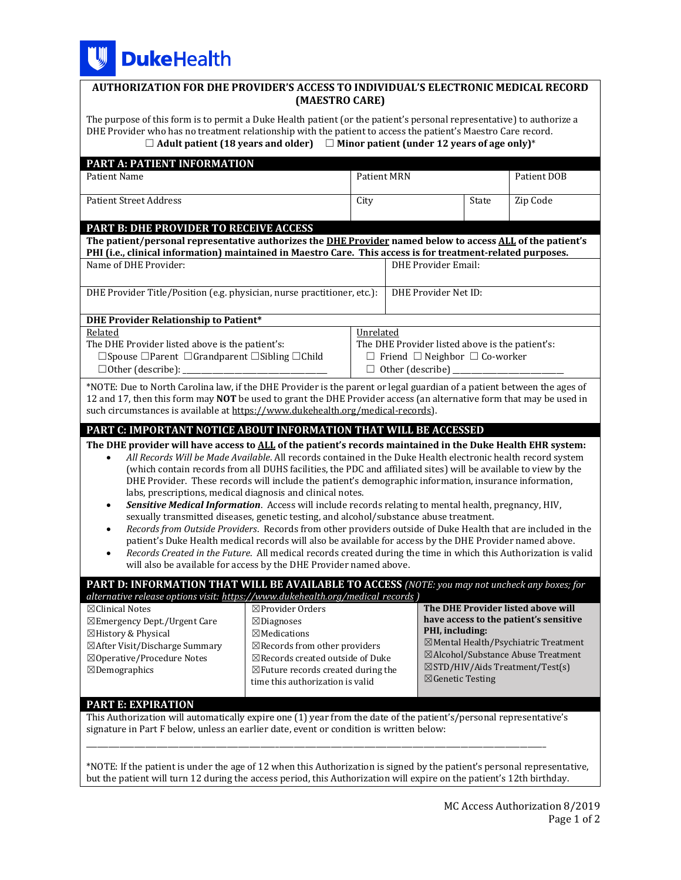**DukeHealth** 

## **AUTHORIZATION FOR DHE PROVIDER'S ACCESS TO INDIVIDUAL'S ELECTRONIC MEDICAL RECORD (MAESTRO CARE)**

 The purpose of this form is to permit a Duke Health patient (or the patient's personal representative) to authorize a DHE Provider who has no treatment relationship with the patient to access the patient's Maestro Care record.  ☐ **Adult patient (18 years and older)** ☐ **Minor patient (under 12 years of age only)**\*

| <b>PART A: PATIENT INFORMATION</b>                                                                                                                                                                                                                                                                                                                                                                                                                                                                                                                                                                                                                                                                                                                                                                                                                                                                                                                                                                                                                                                  |                                                                                                                                                                                                                                                      |  |                                                                                                                |  |                                                                                                                                                                                               |  |
|-------------------------------------------------------------------------------------------------------------------------------------------------------------------------------------------------------------------------------------------------------------------------------------------------------------------------------------------------------------------------------------------------------------------------------------------------------------------------------------------------------------------------------------------------------------------------------------------------------------------------------------------------------------------------------------------------------------------------------------------------------------------------------------------------------------------------------------------------------------------------------------------------------------------------------------------------------------------------------------------------------------------------------------------------------------------------------------|------------------------------------------------------------------------------------------------------------------------------------------------------------------------------------------------------------------------------------------------------|--|----------------------------------------------------------------------------------------------------------------|--|-----------------------------------------------------------------------------------------------------------------------------------------------------------------------------------------------|--|
| <b>Patient Name</b>                                                                                                                                                                                                                                                                                                                                                                                                                                                                                                                                                                                                                                                                                                                                                                                                                                                                                                                                                                                                                                                                 |                                                                                                                                                                                                                                                      |  | <b>Patient MRN</b>                                                                                             |  | Patient DOB                                                                                                                                                                                   |  |
| <b>Patient Street Address</b>                                                                                                                                                                                                                                                                                                                                                                                                                                                                                                                                                                                                                                                                                                                                                                                                                                                                                                                                                                                                                                                       |                                                                                                                                                                                                                                                      |  | City                                                                                                           |  | Zip Code                                                                                                                                                                                      |  |
| PART B: DHE PROVIDER TO RECEIVE ACCESS                                                                                                                                                                                                                                                                                                                                                                                                                                                                                                                                                                                                                                                                                                                                                                                                                                                                                                                                                                                                                                              |                                                                                                                                                                                                                                                      |  |                                                                                                                |  |                                                                                                                                                                                               |  |
| The patient/personal representative authorizes the DHE Provider named below to access ALL of the patient's                                                                                                                                                                                                                                                                                                                                                                                                                                                                                                                                                                                                                                                                                                                                                                                                                                                                                                                                                                          |                                                                                                                                                                                                                                                      |  |                                                                                                                |  |                                                                                                                                                                                               |  |
| PHI (i.e., clinical information) maintained in Maestro Care. This access is for treatment-related purposes.                                                                                                                                                                                                                                                                                                                                                                                                                                                                                                                                                                                                                                                                                                                                                                                                                                                                                                                                                                         |                                                                                                                                                                                                                                                      |  |                                                                                                                |  |                                                                                                                                                                                               |  |
| Name of DHE Provider:                                                                                                                                                                                                                                                                                                                                                                                                                                                                                                                                                                                                                                                                                                                                                                                                                                                                                                                                                                                                                                                               |                                                                                                                                                                                                                                                      |  | <b>DHE Provider Email:</b>                                                                                     |  |                                                                                                                                                                                               |  |
| DHE Provider Title/Position (e.g. physician, nurse practitioner, etc.):                                                                                                                                                                                                                                                                                                                                                                                                                                                                                                                                                                                                                                                                                                                                                                                                                                                                                                                                                                                                             |                                                                                                                                                                                                                                                      |  | DHE Provider Net ID:                                                                                           |  |                                                                                                                                                                                               |  |
| <b>DHE Provider Relationship to Patient*</b>                                                                                                                                                                                                                                                                                                                                                                                                                                                                                                                                                                                                                                                                                                                                                                                                                                                                                                                                                                                                                                        |                                                                                                                                                                                                                                                      |  |                                                                                                                |  |                                                                                                                                                                                               |  |
| Related<br>The DHE Provider listed above is the patient's:<br>$\Box$ Spouse $\Box$ Parent $\Box$ Grandparent $\Box$ Sibling $\Box$ Child<br>$\Box$ Other (describe): $\Box$                                                                                                                                                                                                                                                                                                                                                                                                                                                                                                                                                                                                                                                                                                                                                                                                                                                                                                         |                                                                                                                                                                                                                                                      |  | Unrelated<br>The DHE Provider listed above is the patient's:<br>$\Box$ Friend $\Box$ Neighbor $\Box$ Co-worker |  |                                                                                                                                                                                               |  |
| *NOTE: Due to North Carolina law, if the DHE Provider is the parent or legal guardian of a patient between the ages of<br>12 and 17, then this form may NOT be used to grant the DHE Provider access (an alternative form that may be used in<br>such circumstances is available at https://www.dukehealth.org/medical-records).                                                                                                                                                                                                                                                                                                                                                                                                                                                                                                                                                                                                                                                                                                                                                    |                                                                                                                                                                                                                                                      |  |                                                                                                                |  |                                                                                                                                                                                               |  |
| PART C: IMPORTANT NOTICE ABOUT INFORMATION THAT WILL BE ACCESSED                                                                                                                                                                                                                                                                                                                                                                                                                                                                                                                                                                                                                                                                                                                                                                                                                                                                                                                                                                                                                    |                                                                                                                                                                                                                                                      |  |                                                                                                                |  |                                                                                                                                                                                               |  |
| All Records Will be Made Available. All records contained in the Duke Health electronic health record system<br>$\bullet$<br>(which contain records from all DUHS facilities, the PDC and affiliated sites) will be available to view by the<br>DHE Provider. These records will include the patient's demographic information, insurance information,<br>labs, prescriptions, medical diagnosis and clinical notes.<br>Sensitive Medical Information. Access will include records relating to mental health, pregnancy, HIV,<br>$\bullet$<br>sexually transmitted diseases, genetic testing, and alcohol/substance abuse treatment.<br>Records from Outside Providers. Records from other providers outside of Duke Health that are included in the<br>$\bullet$<br>patient's Duke Health medical records will also be available for access by the DHE Provider named above.<br>Records Created in the Future. All medical records created during the time in which this Authorization is valid<br>$\bullet$<br>will also be available for access by the DHE Provider named above. |                                                                                                                                                                                                                                                      |  |                                                                                                                |  |                                                                                                                                                                                               |  |
| PART D: INFORMATION THAT WILL BE AVAILABLE TO ACCESS (NOTE: you may not uncheck any boxes; for<br>alternative release options visit: https://www.dukehealth.org/medical records)                                                                                                                                                                                                                                                                                                                                                                                                                                                                                                                                                                                                                                                                                                                                                                                                                                                                                                    |                                                                                                                                                                                                                                                      |  |                                                                                                                |  |                                                                                                                                                                                               |  |
| <b>⊠Clinical Notes</b><br>⊠Emergency Dept./Urgent Care<br>⊠History & Physical<br>⊠After Visit/Discharge Summary<br>⊠Operative/Procedure Notes<br>$\boxtimes$ Demographics                                                                                                                                                                                                                                                                                                                                                                                                                                                                                                                                                                                                                                                                                                                                                                                                                                                                                                           | ⊠Provider Orders<br>$\boxtimes$ Diagnoses<br>$\boxtimes$ Medications<br>$\boxtimes$ Records from other providers<br>$\boxtimes$ Records created outside of Duke<br>$\boxtimes$ Future records created during the<br>time this authorization is valid |  | PHI, including:<br>⊠Genetic Testing                                                                            |  | The DHE Provider listed above will<br>have access to the patient's sensitive<br>⊠Mental Health/Psychiatric Treatment<br>⊠Alcohol/Substance Abuse Treatment<br>⊠STD/HIV/Aids Treatment/Test(s) |  |
| <b>PART E: EXPIRATION</b><br>This Authorization will automatically expire one (1) year from the date of the patient's/personal representative's<br>signature in Part F below, unless an earlier date, event or condition is written below:                                                                                                                                                                                                                                                                                                                                                                                                                                                                                                                                                                                                                                                                                                                                                                                                                                          |                                                                                                                                                                                                                                                      |  |                                                                                                                |  |                                                                                                                                                                                               |  |

\*NOTE: If the patient is under the age of 12 when this Authorization is signed by the patient's personal representative, but the patient will turn 12 during the access period, this Authorization will expire on the patient's 12th birthday.